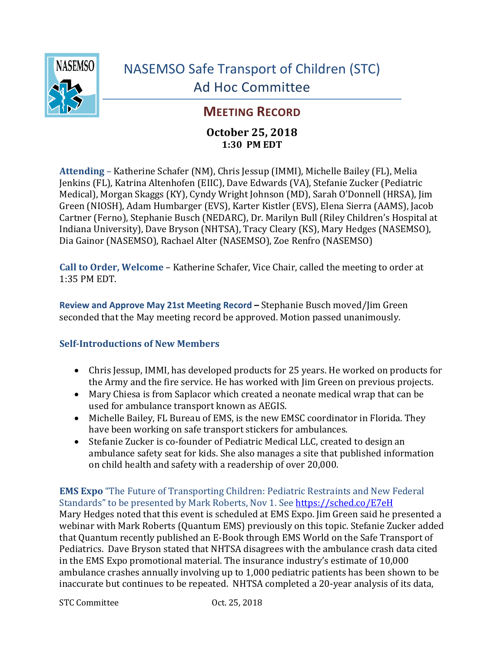

# **MEETING RECORD**

### **October 25, 2018 1:30 PM EDT**

**Attending** – Katherine Schafer (NM), Chris Jessup (IMMI), Michelle Bailey (FL), Melia Jenkins (FL), Katrina Altenhofen (EIIC), Dave Edwards (VA), Stefanie Zucker (Pediatric Medical), Morgan Skaggs (KY), Cyndy Wright Johnson (MD), Sarah O'Donnell (HRSA), Jim Green (NIOSH), Adam Humbarger (EVS), Karter Kistler (EVS), Elena Sierra (AAMS), Jacob Cartner (Ferno), Stephanie Busch (NEDARC), Dr. Marilyn Bull (Riley Children's Hospital at Indiana University), Dave Bryson (NHTSA), Tracy Cleary (KS), Mary Hedges (NASEMSO), Dia Gainor (NASEMSO), Rachael Alter (NASEMSO), Zoe Renfro (NASEMSO)

**Call to Order, Welcome** – Katherine Schafer, Vice Chair, called the meeting to order at 1:35 PM EDT.

**Review and Approve May 21st Meeting Record – Stephanie Busch moved/Jim Green** seconded that the May meeting record be approved. Motion passed unanimously.

#### **Self-Introductions of New Members**

- Chris Jessup, IMMI, has developed products for 25 years. He worked on products for the Army and the fire service. He has worked with  $\lim$  Green on previous projects.
- Mary Chiesa is from Saplacor which created a neonate medical wrap that can be used for ambulance transport known as AEGIS.
- Michelle Bailey, FL Bureau of EMS, is the new EMSC coordinator in Florida. They have been working on safe transport stickers for ambulances.
- Stefanie Zucker is co-founder of Pediatric Medical LLC, created to design an ambulance safety seat for kids. She also manages a site that published information on child health and safety with a readership of over 20,000.

#### **EMS Expo** "The Future of Transporting Children: Pediatric Restraints and New Federal Standards" to be presented by Mark Roberts, Nov 1. See https://sched.co/E7eH

Mary Hedges noted that this event is scheduled at EMS Expo. I im Green said he presented a webinar with Mark Roberts (Quantum EMS) previously on this topic. Stefanie Zucker added that Quantum recently published an E-Book through EMS World on the Safe Transport of Pediatrics. Dave Bryson stated that NHTSA disagrees with the ambulance crash data cited in the EMS Expo promotional material. The insurance industry's estimate of 10,000 ambulance crashes annually involving up to 1,000 pediatric patients has been shown to be inaccurate but continues to be repeated. NHTSA completed a 20-year analysis of its data,

STC Committee Oct. 25, 2018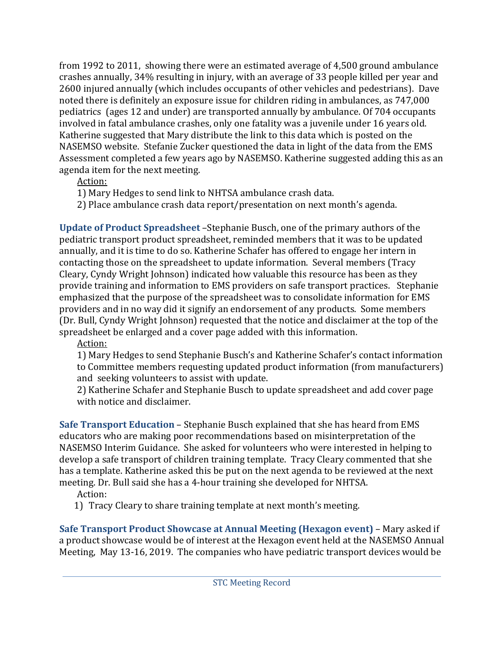from 1992 to 2011, showing there were an estimated average of 4,500 ground ambulance crashes annually, 34% resulting in injury, with an average of 33 people killed per year and 2600 injured annually (which includes occupants of other vehicles and pedestrians). Dave noted there is definitely an exposure issue for children riding in ambulances, as 747,000 pediatrics (ages 12 and under) are transported annually by ambulance. Of 704 occupants involved in fatal ambulance crashes, only one fatality was a juvenile under 16 years old. Katherine suggested that Mary distribute the link to this data which is posted on the NASEMSO website. Stefanie Zucker questioned the data in light of the data from the EMS Assessment completed a few years ago by NASEMSO. Katherine suggested adding this as an agenda item for the next meeting.

Action: 

- 1) Mary Hedges to send link to NHTSA ambulance crash data.
- 2) Place ambulance crash data report/presentation on next month's agenda.

**Update of Product Spreadsheet** – Stephanie Busch, one of the primary authors of the pediatric transport product spreadsheet, reminded members that it was to be updated annually, and it is time to do so. Katherine Schafer has offered to engage her intern in contacting those on the spreadsheet to update information. Several members (Tracy Cleary, Cyndy Wright Johnson) indicated how valuable this resource has been as they provide training and information to EMS providers on safe transport practices. Stephanie emphasized that the purpose of the spreadsheet was to consolidate information for EMS providers and in no way did it signify an endorsement of any products. Some members (Dr. Bull, Cyndy Wright Johnson) requested that the notice and disclaimer at the top of the spreadsheet be enlarged and a cover page added with this information.

Action:

1) Mary Hedges to send Stephanie Busch's and Katherine Schafer's contact information to Committee members requesting updated product information (from manufacturers) and seeking volunteers to assist with update.

2) Katherine Schafer and Stephanie Busch to update spreadsheet and add cover page with notice and disclaimer.

**Safe Transport Education** - Stephanie Busch explained that she has heard from EMS educators who are making poor recommendations based on misinterpretation of the NASEMSO Interim Guidance. She asked for volunteers who were interested in helping to develop a safe transport of children training template. Tracy Cleary commented that she has a template. Katherine asked this be put on the next agenda to be reviewed at the next meeting. Dr. Bull said she has a 4-hour training she developed for NHTSA.

Action:

1) Tracy Cleary to share training template at next month's meeting.

**Safe Transport Product Showcase at Annual Meeting (Hexagon event)** – Mary asked if a product showcase would be of interest at the Hexagon event held at the NASEMSO Annual Meeting, May 13-16, 2019. The companies who have pediatric transport devices would be